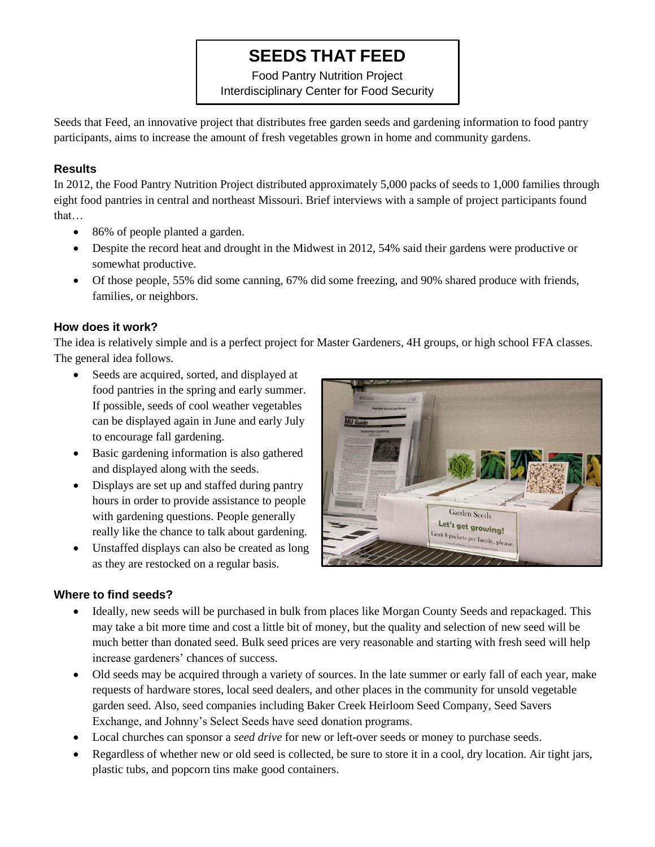# **SEEDS THAT FEED**

Food Pantry Nutrition Project Interdisciplinary Center for Food Security

Seeds that Feed, an innovative project that distributes free garden seeds and gardening information to food pantry participants, aims to increase the amount of fresh vegetables grown in home and community gardens.

#### **Results**

In 2012, the Food Pantry Nutrition Project distributed approximately 5,000 packs of seeds to 1,000 families through eight food pantries in central and northeast Missouri. Brief interviews with a sample of project participants found that…

- 86% of people planted a garden.
- Despite the record heat and drought in the Midwest in 2012, 54% said their gardens were productive or somewhat productive.
- Of those people, 55% did some canning, 67% did some freezing, and 90% shared produce with friends, families, or neighbors.

### **How does it work?**

The idea is relatively simple and is a perfect project for Master Gardeners, 4H groups, or high school FFA classes. The general idea follows.

- Seeds are acquired, sorted, and displayed at food pantries in the spring and early summer. If possible, seeds of cool weather vegetables can be displayed again in June and early July to encourage fall gardening.
- Basic gardening information is also gathered and displayed along with the seeds.
- Displays are set up and staffed during pantry hours in order to provide assistance to people with gardening questions. People generally really like the chance to talk about gardening.
- Unstaffed displays can also be created as long as they are restocked on a regular basis.



#### **Where to find seeds?**

- Ideally, new seeds will be purchased in bulk from places like Morgan County Seeds and repackaged. This may take a bit more time and cost a little bit of money, but the quality and selection of new seed will be much better than donated seed. Bulk seed prices are very reasonable and starting with fresh seed will help increase gardeners' chances of success.
- Old seeds may be acquired through a variety of sources. In the late summer or early fall of each year, make requests of hardware stores, local seed dealers, and other places in the community for unsold vegetable garden seed. Also, seed companies including Baker Creek Heirloom Seed Company, Seed Savers Exchange, and Johnny's Select Seeds have seed donation programs.
- Local churches can sponsor a *seed drive* for new or left-over seeds or money to purchase seeds.
- Regardless of whether new or old seed is collected, be sure to store it in a cool, dry location. Air tight jars, plastic tubs, and popcorn tins make good containers.